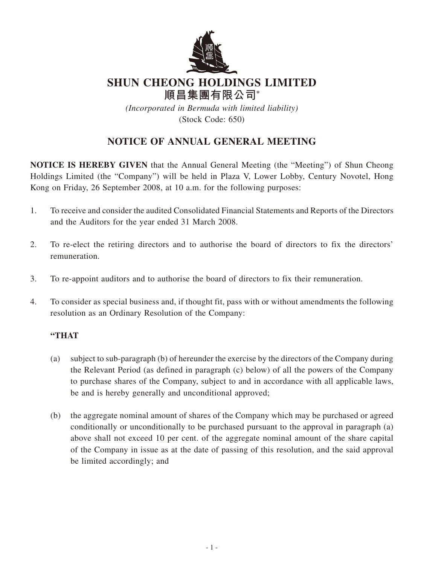

# **SHUN CHEONG HOLDINGS LIMITED**

**順昌集團有限公司\*** *(Incorporated in Bermuda with limited liability)* (Stock Code: 650)

## **NOTICE OF ANNUAL GENERAL MEETING**

**NOTICE IS HEREBY GIVEN** that the Annual General Meeting (the "Meeting") of Shun Cheong Holdings Limited (the "Company") will be held in Plaza V, Lower Lobby, Century Novotel, Hong Kong on Friday, 26 September 2008, at 10 a.m. for the following purposes:

- 1. To receive and consider the audited Consolidated Financial Statements and Reports of the Directors and the Auditors for the year ended 31 March 2008.
- 2. To re-elect the retiring directors and to authorise the board of directors to fix the directors' remuneration.
- 3. To re-appoint auditors and to authorise the board of directors to fix their remuneration.
- 4. To consider as special business and, if thought fit, pass with or without amendments the following resolution as an Ordinary Resolution of the Company:

#### **"THAT**

- (a) subject to sub-paragraph (b) of hereunder the exercise by the directors of the Company during the Relevant Period (as defined in paragraph (c) below) of all the powers of the Company to purchase shares of the Company, subject to and in accordance with all applicable laws, be and is hereby generally and unconditional approved;
- (b) the aggregate nominal amount of shares of the Company which may be purchased or agreed conditionally or unconditionally to be purchased pursuant to the approval in paragraph (a) above shall not exceed 10 per cent. of the aggregate nominal amount of the share capital of the Company in issue as at the date of passing of this resolution, and the said approval be limited accordingly; and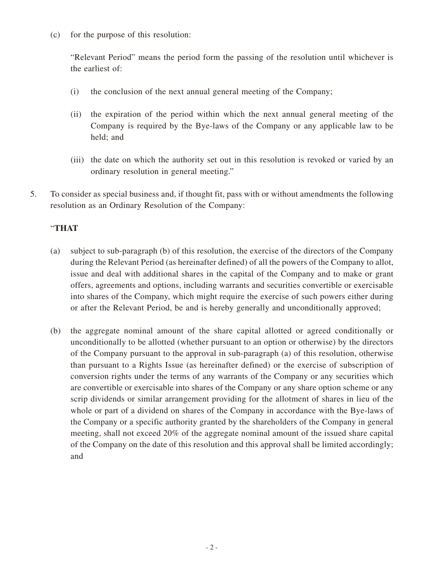(c) for the purpose of this resolution:

"Relevant Period" means the period form the passing of the resolution until whichever is the earliest of:

- (i) the conclusion of the next annual general meeting of the Company;
- (ii) the expiration of the period within which the next annual general meeting of the Company is required by the Bye-laws of the Company or any applicable law to be held; and
- (iii) the date on which the authority set out in this resolution is revoked or varied by an ordinary resolution in general meeting."
- 5. To consider as special business and, if thought fit, pass with or without amendments the following resolution as an Ordinary Resolution of the Company:

### "**THAT**

- (a) subject to sub-paragraph (b) of this resolution, the exercise of the directors of the Company during the Relevant Period (as hereinafter defined) of all the powers of the Company to allot, issue and deal with additional shares in the capital of the Company and to make or grant offers, agreements and options, including warrants and securities convertible or exercisable into shares of the Company, which might require the exercise of such powers either during or after the Relevant Period, be and is hereby generally and unconditionally approved;
- (b) the aggregate nominal amount of the share capital allotted or agreed conditionally or unconditionally to be allotted (whether pursuant to an option or otherwise) by the directors of the Company pursuant to the approval in sub-paragraph (a) of this resolution, otherwise than pursuant to a Rights Issue (as hereinafter defined) or the exercise of subscription of conversion rights under the terms of any warrants of the Company or any securities which are convertible or exercisable into shares of the Company or any share option scheme or any scrip dividends or similar arrangement providing for the allotment of shares in lieu of the whole or part of a dividend on shares of the Company in accordance with the Bye-laws of the Company or a specific authority granted by the shareholders of the Company in general meeting, shall not exceed 20% of the aggregate nominal amount of the issued share capital of the Company on the date of this resolution and this approval shall be limited accordingly; and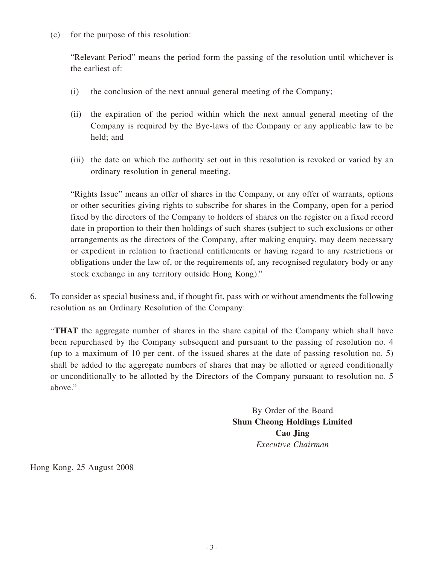(c) for the purpose of this resolution:

"Relevant Period" means the period form the passing of the resolution until whichever is the earliest of:

- (i) the conclusion of the next annual general meeting of the Company;
- (ii) the expiration of the period within which the next annual general meeting of the Company is required by the Bye-laws of the Company or any applicable law to be held; and
- (iii) the date on which the authority set out in this resolution is revoked or varied by an ordinary resolution in general meeting.

"Rights Issue" means an offer of shares in the Company, or any offer of warrants, options or other securities giving rights to subscribe for shares in the Company, open for a period fixed by the directors of the Company to holders of shares on the register on a fixed record date in proportion to their then holdings of such shares (subject to such exclusions or other arrangements as the directors of the Company, after making enquiry, may deem necessary or expedient in relation to fractional entitlements or having regard to any restrictions or obligations under the law of, or the requirements of, any recognised regulatory body or any stock exchange in any territory outside Hong Kong)."

6. To consider as special business and, if thought fit, pass with or without amendments the following resolution as an Ordinary Resolution of the Company:

"**THAT** the aggregate number of shares in the share capital of the Company which shall have been repurchased by the Company subsequent and pursuant to the passing of resolution no. 4 (up to a maximum of 10 per cent. of the issued shares at the date of passing resolution no. 5) shall be added to the aggregate numbers of shares that may be allotted or agreed conditionally or unconditionally to be allotted by the Directors of the Company pursuant to resolution no. 5 above."

> By Order of the Board **Shun Cheong Holdings Limited Cao Jing** *Executive Chairman*

Hong Kong, 25 August 2008